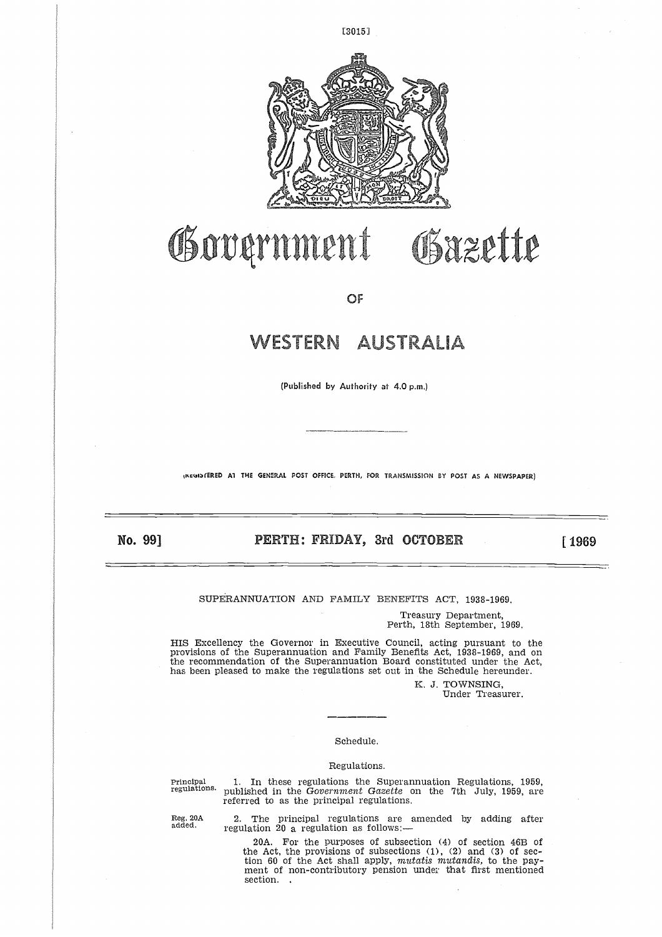

[3015]

## Government Obazette

OF

# WESTERN AUSTRALIA

(Published by Authority at 4.0 p.m.)

**tpktim)1ERED Al THE GENERAL POST OFFICE, PERTH, FOR TRANSMISSION BY POST AS A NEWSPAPER)**

No. 99]

**PUBLISHED BY AUTHORITY OF 4.0 P.M.)**<br> **PERTH: FRIDAY, 3rd OCTOBER** [1969]

SUPERANNUATION AND FAMILY BENEFITS ACT, 1938-1969.

Treasury Department, Perth, 18th September, 1969.

HIS Excellency the Governor in Executive Council, acting pursuant to the provisions of the Superannuation and Family Benefits Act, 1938-1969, and on the recommendation of the Superannuation Board constituted under the Act, has been pleased to make the regulations set out in the Schedule hereunder.

> K. J. TOWNSING, Under Treasurer.

## Schedule.

## Regulations.

K. J. TOWNSING,<br>
Under Treasurer.<br>
Note of Treasurer.<br>
Schedule.<br>
Regulations.<br>
Principal 1. In these regulations the Superannuation Regulations, 1959<br>
regulations.<br>
Principal in the Government Gazette on the 7th July, 195 regulations. published in the *Government Gazette* on the 7th July, 1959, are referred to as the principal regulations.

> 2. The principal regulations are amended by adding after regulation 20 a regulation as follows:—

20A. For the purposes of subsection (4) of section 46B of the Act, the provisions of subsections (1), (2) and (3) of section 60 of the Act shall apply, *mutatis niutandis,* to the payment of non-contributory pension under that first mentioned section. .

Reg. 20A added.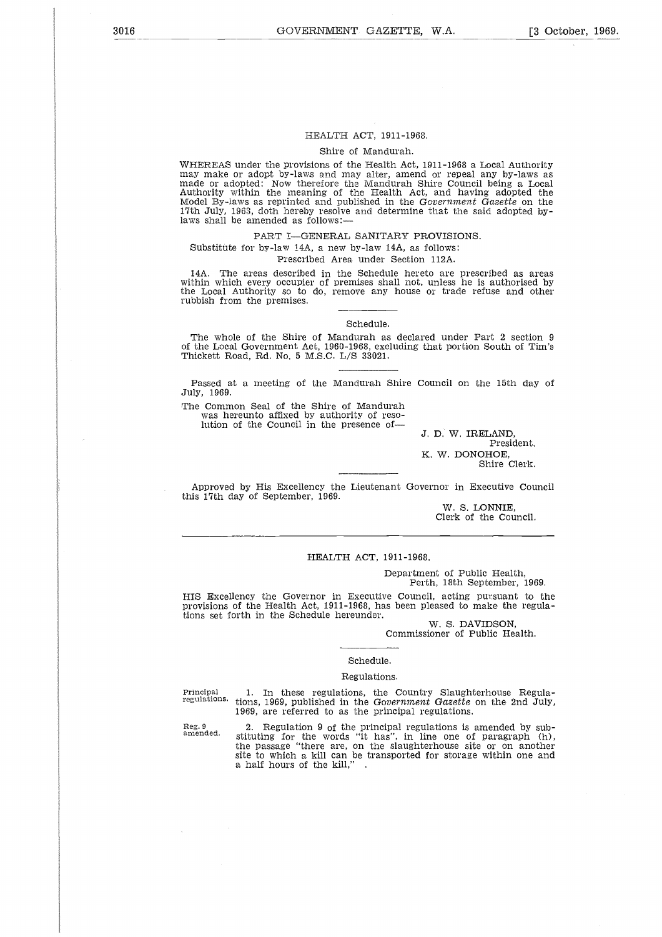## HEALTH ACT, 1911-1968.

Shire of Mandurah.

WHEREAS under the provisions of the Health Act, 1911-1968 a Local Authority may make or adopt by-laws and may alter, amend or repeal any by-laws as made or adopted: Now therefore the Mandurah Shire Council being a Local Authority within the meaning of the Health Act, and having adopted the Model By-laws as reprinted and published in the *Government Gazette* on the 17th July, 1963, doth hereby resolve and determine that the said adopted bylaws shall be amended as follows:—

PART I—GENERAL SANITARY PROVISIONS. Substitute for by-law 14A, a new by-law 14A, as follows:

Prescribed Area under Section 112A.

14A. The areas described in the Schedule hereto are prescribed as areas within which every occupier of premises shall not, unless he is authorised by the Local Authority so to do, remove any house or trade refuse and other rubbish from the premises.

Schedule.

The whole of the Shire of Mandurah as declared under Part 2 section 9 of the Local Government Act, 1960-1968, excluding that portion South of Tim's Thickett Road, Rd. No. 5 M.S.C. L/S 33021.

Passed at a meeting of the Mandurah Shire Council on the 15th day of July, 1969.

The Common Seal of the Shire of Mandurah was hereunto affixed by authority of resolution of the Council in the presence of

J. D. W. IRELAND, President. K. W. DONOHOE, Shire Clerk.

Approved by His Excellency the Lieutenant Governor in Executive Council this 17th day of September, 1969.

> W. S. LONNIE, Clerk of the Council.

## HEALTH ACT, 1911-1968.

Department of Public Health, Perth, 18th September, 1969.

HIS Excellency the Governor in Executive Council, acting pursuant to the provisions of the Health Act, 1911-1968, has been pleased to make the regulations set forth in the Schedule hereunder. HIS Excellency the Governor in Executive Council, acting pursuant to the<br>provisions of the Health Act, 1911-1968, has been pleased to make the regula-<br>tions set forth in the Schedule hereunder.<br>W. S. DAVIDSON,<br>Commissioner

W. S. DAVIDSON, Commissioner of Public Health.

## Schedule.

#### Regulations.

regulations. tions, 1969, published in the *Government Gazette* on the 2nd July, 1969, are referred to as the principal regulations.

Reg. 9 amended.

2. Regulation 9 of the principal regulations is amended by sub-stituting for the words "it has", in line one of paragraph (h), the passage "there are, on the slaughterhouse site or on another site to which a kill can be transported for storage within one and a half hours of the kill," .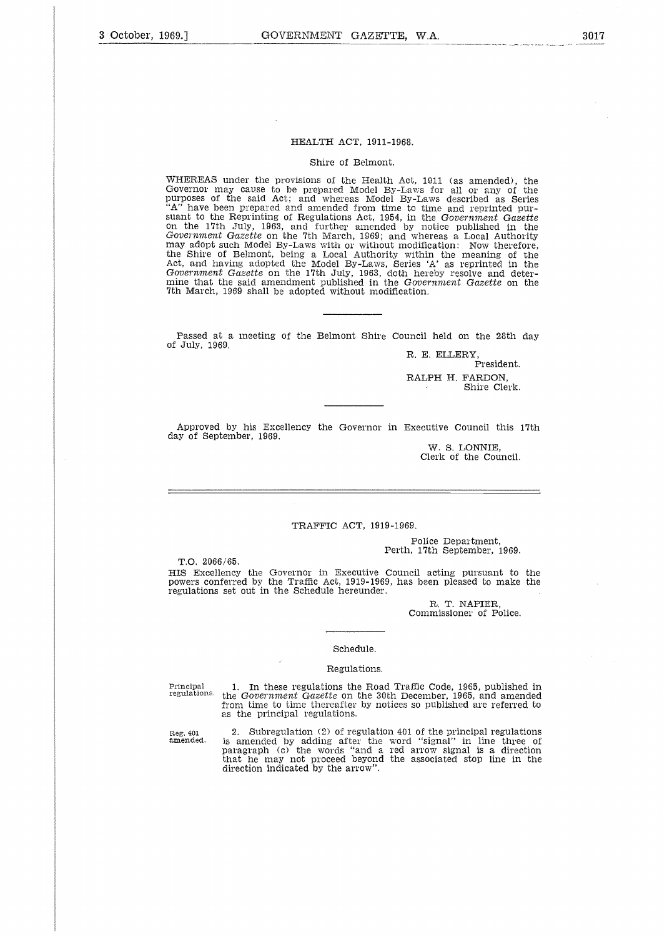## HEALTH ACT, 1911-1968,

#### Shire of Belmont.

WHEREAS under the provisions of the Health Act, 1911 (as amended), the Governor may cause to be prepared Model By-Laws for all or any of the purposes of the said Act; and whereas Model By-Laws described as Series "A" have been prepared and amended from time to time and reprinted pursuant to the Reprinting of Regulations Act, 1954, in the *Government Gazette* on the 17th July, 1963, and further amended by notice published in the *Government Gazette* on the 7th March, 1969; and whereas a Local Authority may adopt such Model By-Laws with or without modification: Now therefore<br>the Shire of Belmont, being a Local Authority within the meaning of the Act, and having adopted the Model By-Laws, Series 'A' as reprinted in the *Government Gazette* on the 17th July, 1963, doth hereby resolve and determine that the said amendment published in the *Government Gazette* on the 7th March, 1969 shall be adopted without modification.

Passed at a meeting of the Belmont Shire Council held on the 28th day of July, 1969.

R. E. ELLERY. President. RALPH H. PARDON, Shire Clerk.

Approved by his Excellency the Governor in Executive Council this 17th day of September, 1969.

> W. S. LONNIE, Clerk of the Council.

## TRAFFIC ACT, 1919-1969.

Police Department, Perth, 17th September, 1969.

T.O. 2066/65. HIS Excellency the Governor in Executive Council acting pursuant to the powers conferred by the Traffic Act, 1919-1969, has been pleased to make the regulations set out in the Schedule hereunder.

> R. T. NAPIER, Commissioner of Police.

#### Schedule.

#### Regulations.

Principal 1. In these regulations the Road Traffic Code, 1965, published in regulations. the Government Gazette on the 30th December, 1965, and amended from time to time thereafter by notices so published are referred to as the principal regulations.

Reg. 40<mark>1</mark><br>**amend**ed.

2. Subregulation (2) of regulation 401 of the principal regulations is amended by adding after the word "signal" in line three of paragraph (c) the words "and a red arrow signal is a direction that he may not proceed beyond the associated stop line in the direction indicated by the arrow".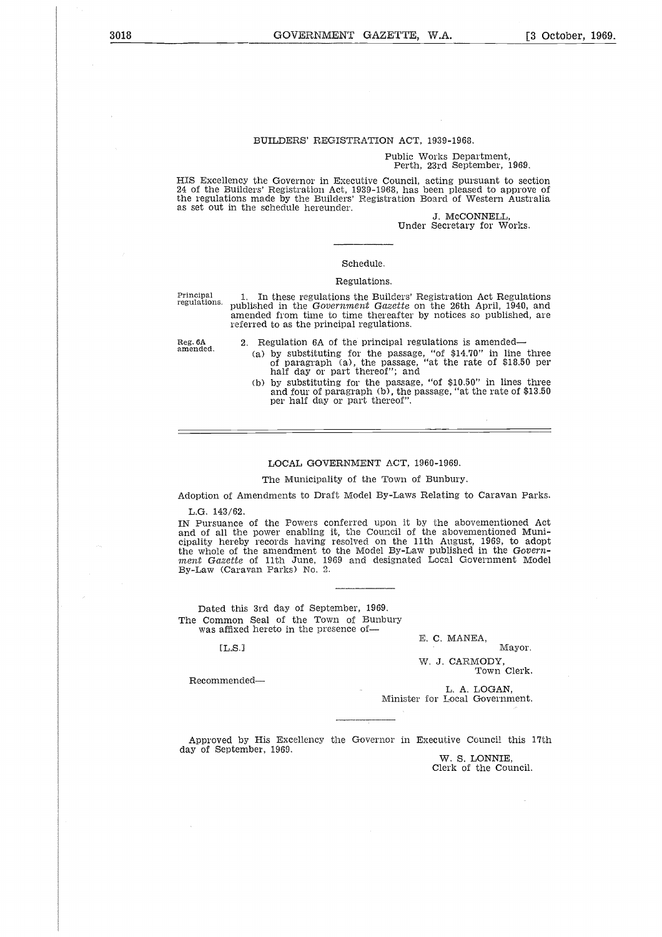## BUILDERS' REGISTRATION ACT, 1939-1968.

#### Public Works Department, Perth, 23rd September, 1969.

HIS Excellency the Governor in Executive Council, acting pursuant to section 24 of the Builders' Registration Act, 1939-1968, has been pleased to approve of the regulations made by the Builders' Registration Board of Western Australia as set out in the schedule hereunder.

J. McCONNELL, Under Secretary for Works.

## Schedule.

## Regulations.

Principal regulations.

1. In these regulations the Builders' Registration Act Regulations published in the *Government Gazette* on the 26th April, 1940, and amended from time to time thereafter by notices so published, are referred to as the principal regulations.

amended.

- 2. Regulation 6A of the principal regulations is amended (a) by substituting for the passage, "of \$14.70" in line three of paragraph (a), the passage, "at the rate of \$18.50 per half day or part thereof"; and
	- (b) by substituting for the passage, "of \$10.50" in lines three and four of paragraph (b), the passage, "at the rate of \$13.50 per half day or part thereof".

#### LOCAL GOVERNMENT ACT, 1960-1969.

### The Municipality of the Town of Bunbury.

Adoption of Amendments to Draft Model By-Laws Relating to Caravan Parks.

L.G. 143/62.

IN Pursuance of the Powers conferred upon it by the abovementioned Act and of all the power enabling it, the Council of the abovementioned Municipality hereby records having resolved on the 11th August, 1969, to adopt the whole of the amendment to the Model By-Law published in the *Government Gazette* of 11th June, 1969 and designated Local Government Model By-Law (Caravan Parks) No. 2. e<br>Bytl<br>s<br>d<br>c

Dated this 3rd day of September, 1969. The Common Seal of the Town of Bunbury was affixed hereto in the presence of-

 $TLS.1$ 

Recommended

E. C. MANEA,

Mayor.

W. J. CARMODY, Town Clerk.

L. A. LOGAN, Minister for Local Government.

Approved by His Excellency the Governor in Executive Council this 17th day of September, 1969.

W. S. LONNIE, Clerk of the Council.

Reg. 6A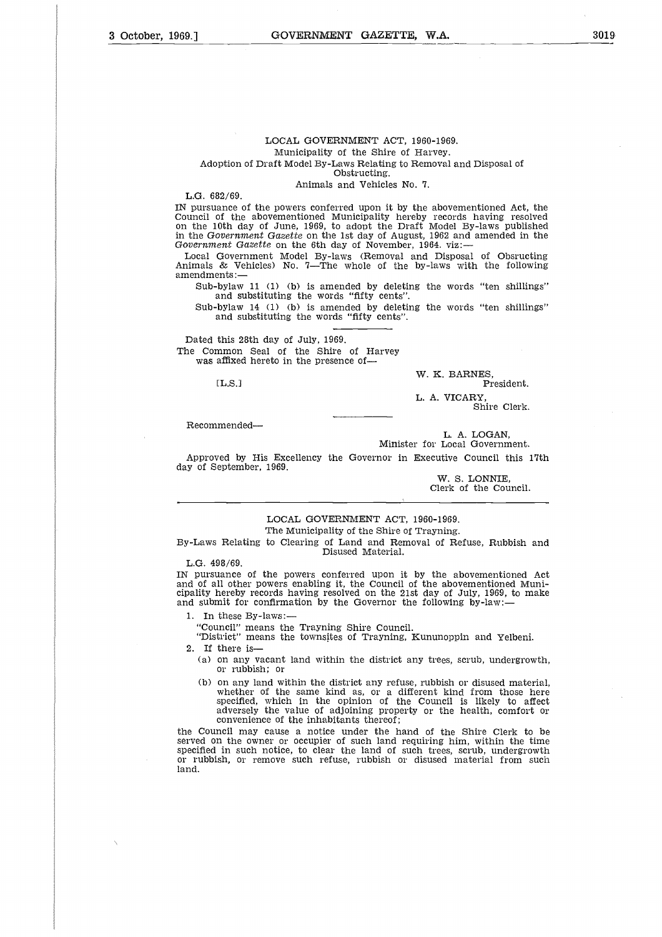## LOCAL GOVERNMENT ACT, 1960-1969. Municipality of the Shire of Harvey. Adoption of Draft Model By-Laws Relating to Removal and Disposal of Obstructing.

Animals and Vehicles No. 7.

L.G. 682/69.

IN pursuance of the powers conferred upon it by the abovementioned Act, the Council of the abovementioned Municipality hereby records having resolved on the 10th day of June, 1969, to adopt the Draft Model By-laws published in the *Government Gazette* on the 1st day of August, 1962 and amended in the *Government Gazette* on the 6th day of November, 1964. viz:

Local Government Model By-laws (Removal and Disposal of Obsructing Animals & Vehicles) No. 7—The whole of the by-laws with the following amendments: ent Governer<br> *Governer*<br>
& Veents:<br>
bylaw<br>
sand su<br>
this 2:<br>
this 2:<br>
mmon<br>
affixed<br>
[L.S.]

Sub-bylaw 11 (1) (b) is amended by deleting the words "ten shillings" and substituting the words "fifty cents".

Sub-bylaw 14 (1) (b) is amended by deleting the words "ten shillings" and substituting the words "fifty cents".

Dated this 28th day of July, 1969. The Common Seal of the Shire of Harvey was affixed hereto in the presence of-

 $[L.S.]$ 

W. K. BARNES, President.

L. A. VICARY, Shire Clerk.

Recommended

L. A. LOGAN, Minister for Local Government.

Approved by His Excellency the Governor in Executive Council this 17th day of September, 1969.

> W. S. LONNIE, Clerk of the Council.

## LOCAL GOVERNMENT ACT, 1960-1969. The Municipality of the Shire of Trayning.

By-Laws Relating to Clearing of Land and Removal of Refuse, Rubbish and Disused Material.

L.G. 498/69.

IN pursuance of the powers conferred upon it by the abovementioned Act and of all other powers enabling it, the Council of the abovementioned Municipality hereby records having resolved on the 21st day of July, 1969, to make and submit for confirmation by the Governor the following by-law:-

1. In these By-laws:

"Council" means the Trayning Shire Council.

"District" means the townsites of Trayning, Kununoppin and Yelbeni.

2. If there is

- (a) on any vacant land within the district any trees, scrub, undergrowth, or rubbish; or
- (b) on any land within the district any refuse, rubbish or disused material, whether of the same kind as, or a different kind from those here specified, which in the opinion of the Council is likely to affect adversely the value of adjoining property or the health, comfort or convenience of the inhabitants thereof;

the Council may cause a notice under the hand of the Shire Clerk to be served on the owner or occupier of such land requiring him, within the time specified in such notice, to clear the land of such trees, scrub, undergrowth or rubbish, or remove such refuse, rubbish or disused material from such land.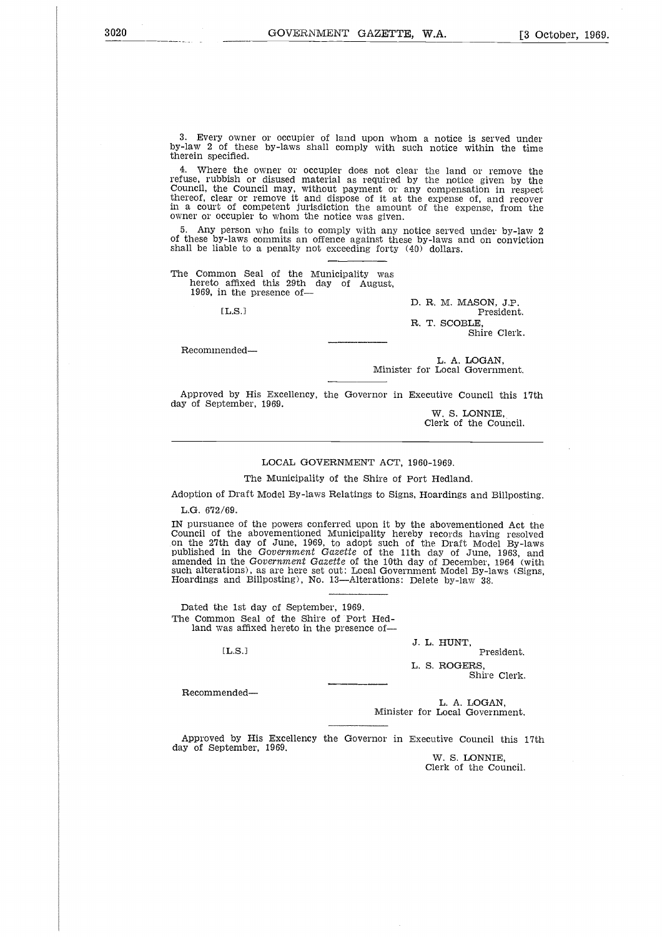3. Every owner or occupier of land upon whom a notice is served under by-law 2 of these by-laws shall comply with such notice within the time therein specified.

4. Where the owner or occupier does not clear the land or remove the refuse, rubbish or disused material as required by the notice given by the Council, the Council may, without payment or any compensation in respect thereof, clear or remove it and dispose of it at the expense of, and recover in a court of competent jurisdiction the amount of the expense, from the owner or occupier to whom the notice was given. e the<br>bish c<br>courre counce of eccupie<br>person<br>person S<br>affixe<br>in the<br>L.S.]

5. Any person who fails to comply with any notice served under by-law 2 of these by-laws commits an offence against these by-laws and on conviction shall be liable to a penalty not exceeding forty (40) dollars.

The Common Seal of the Municipality was hereto affixed this 29th day of August, 1969, in the presence of-

 $LLS.1$ 

D. R. M. MASON, J.P. President. R. T. SCOBLE, Shire Clerk.

Recommended

L. A. LOGAN, Minister for Local Government.

Approved by His Excellency, the Governor in Executive Council this 17th day of September, 1969.

W. S. LONNIE, Clerk of the Council.

### LOCAL GOVERNMENT ACT, 1960-1969.

The Municipality of the Shire of Port Hedland.

Adoption of Draft Model By-laws Relatings to Signs, Hoardings and Billposting.

L.G. 672/69.

IN pursuance of the powers conferred upon it by the abovementioned Act the Council of the abovementioned Municipality hereby records having resolved on the 27th day of June, 1969, to adopt such of the Draft Model By-laws published in the *Government Gazette* of the 11th day of June, 1963, and amended in the *Government Gazette* of the 10th day of December, 1964 (with such alterations), as are here set out: Local Government Model By-laws (Signs, Hoardings and Billposting), No. 13—Alterations: Delete by-law 38. 69.<br>
ice of the day<br>
in day<br>
in the land leads<br>
and leads<br>
as aff<br>
in S.<br>
in L.S.<br>
in L.S.

Dated the 1st day of September, 1969. The Common Seal of the Shire of Port Hedland was affixed hereto in the presence of-

 $[LLS.1]$ 

J. L. HUNT, President.

L. S. ROGERS, Shire Clerk.

Recommended

L. A. LOGAN, Minister for Local Government.

Approved by His Excellency the Governor in Executive Council this 17th day of September, 1969.

> W. S. LONNIE, Clerk of the Council.